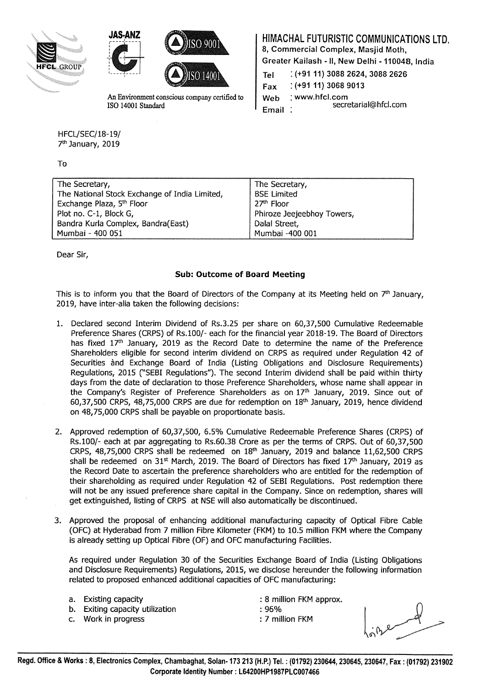





An Environment conscious company certified to ISO 14001 Standard

HFCL/SEC/18-19/ 7th January, 2019

To

|  | HIMACHAL FUTURISTIC COMMUNICATIONS LTD. |  |
|--|-----------------------------------------|--|
|  |                                         |  |

8, Commercial Complex, Masjid Moth,

Greater Kailash- II, New Delhi -110048, India

| Tel   | $:(+9111)$ 3088 2624, 3088 2626 |  |  |
|-------|---------------------------------|--|--|
| Fax   | $( +91 11) 3068 9013$           |  |  |
| Web   | : www.hfcl.com                  |  |  |
| Email | secretarial@hfcl.com            |  |  |

The Secretary,<br>The National Stock Exchange of India Limited. BSE Limited The National Stock Exchange of India Limited, BSE Limited, Exchange Plaza,  $5<sup>th</sup>$  Floor Exchange Plaza, 5<sup>th</sup> Floor Plot no. C-1, Block G, The Contract of Phiroze Jeejeebhoy Towers, Bandra Kurla Complex, Bandra(East) Bandra | Dalal Street, Mumbai- 400 051 Mumbai -400 001

Dear Sir,

## Sub: Outcome of Board Meeting

This is to inform you that the Board of Directors of the Company at its Meeting held on  $7<sup>th</sup>$  January, 2019, have inter-alia taken the following decisions:

- 1. Declared second Interim Dividend of Rs.3.25 per share on 60,37,500 Cumulative Redeemable Preference Shares (CRPS) of Rs.100/- each for the financial year 2018-19. The Board of Directors has fixed  $17<sup>th</sup>$  January, 2019 as the Record Date to determine the name of the Preference Shareholders eligible for second interim dividend on CRPS as required under Regulation 42 of Securities and Exchange Board of India (Listing Obligations and Disclosure Requirements) Regulations, 2015 (''SEBI Regulations"). The second Interim dividend shall be paid within thirty days from the date of declaration to those Preference Shareholders, whose name shall appear in the Company's Register of Preference Shareholders as on  $17<sup>th</sup>$  January, 2019. Since out of 60,37,500 CRPS, 48,75,000 CRPS are due for redemption on  $18<sup>th</sup>$  January, 2019, hence dividend on 48,75,000 CRPS shall be payable on proportionate basis.
- 2. Approved redemption of 60,37,500, 6.5% Cumulative Redeemable Preference Shares (CRPS) of Rs.100/- each at par aggregating to Rs.60.38 Crore as per the terms of CRPS. Out of 60,37,500 CRPS,  $48,75,000$  CRPS shall be redeemed on  $18<sup>th</sup>$  January, 2019 and balance 11,62,500 CRPS shall be redeemed on  $31<sup>st</sup>$  March, 2019. The Board of Directors has fixed  $17<sup>th</sup>$  January, 2019 as the Record Date to ascertain the preference shareholders who are entitled for the redemption of their shareholding as required under Regulation 42 of SEBI Regulations. Post redemption there will not be any issued preference share capital in the Company. Since on redemption, shares will get extinguished, listing of CRPS at NSE will also automatically be discontinued.
- 3. Approved the proposal of enhancing additional manufacturing capacity of Optical Fibre Cable (OFC) at Hyderabad from 7 million Fibre Kilometer (FKM) to 10.5 million FKM where the Company is already setting up Optical Fibre (OF) and OFC manufacturing Facilities.

As required under Regulation 30 of the Securities Exchange Board of India (Listing Obligations and Disclosure Requirements) Regulations, 2015, we disclose hereunder the following information related to proposed enhanced additional capacities of OFC manufacturing:

- 
- b. Exiting capacity utilization : 06%
- c. Work in progress in the set of the set of the set of the set of the set of the set of the set of the set of the set of the set of the set of the set of the set of the set of the set of the set of the set of the set of t
- a. Existing capacity **Existing capacity and Existing capacity can be a set of the set of the set of the set of the set of the set of the set of the set of the set of the set of the set of the set of the set of the set** 
	-
	-